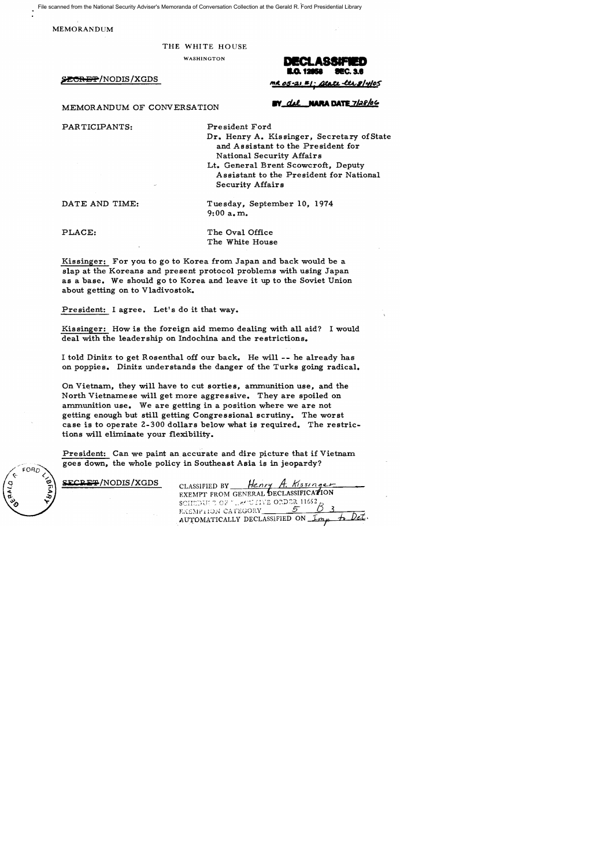File scanned from the National Security Adviser's Memoranda of Conversation Collection at the Gerald R. Ford Presidential Library

MEMORANDUM

## THE WHITE HOUSE

MEMORANDUM OF CONVERSATION

PAR TICIPANTS:

**EY del NARA DATE 7/28/06** 

President Ford

Dr. Henry A. Kissinger, Secretary of State and Assistant to the President for National Security Affairs

Lt. General Brent Scowcroft, Deputy Assistant to the President for National Security Affairs

DATE AND TIME:

Tuesday, September 10, 1974  $9:00$  a.m.

PLACE:

The Oval Office The White House

Kissinger: For you to go to Korea from Japan and back would be a slap at the Koreans and present protocol problems with using Japan as a base. We should go to Korea and leave it up to the Soviet Union about getting on to Vladivostok.

President: I agree. Let's do it that way.

Kissinger: How is the foreign aid memo dealing with all aid? I would deal with the leadership on Indochina and the restrictions.

I told Dinitz to get Rosenthal off our back. He will -- he already has on poppies. Dinitz understands the danger of the Turks going radical.

On Vietnam, they will have to cut sorties, ammunition use, and the North Vietnamese will get more aggressive. They are spoiled on ammunition use. We are getting in a position where we are not getting enough but still getting Congressional scrutiny. The worst case is to operate 2-300 dollars below what is required. The restrictions will eliminate your flexibility.

President: Can we paint an accurate and dire picture that if Vietnam goes down, the whole policy in Southeast Asia is in jeopardy?

FORD

| SECRET/NODIS/XGDS | CLASSIFIED BY Henry A. Kissinger     |
|-------------------|--------------------------------------|
|                   | EXEMPT FROM GENERAL DECLASSIFICATION |
|                   | SCHEDUI TOF "LEGULIVE ORDER $11652$  |
|                   | EXEMPTION CATEGORY 5                 |
|                   | AUTOMATICALLY DECLASSIFIED ON Imm    |

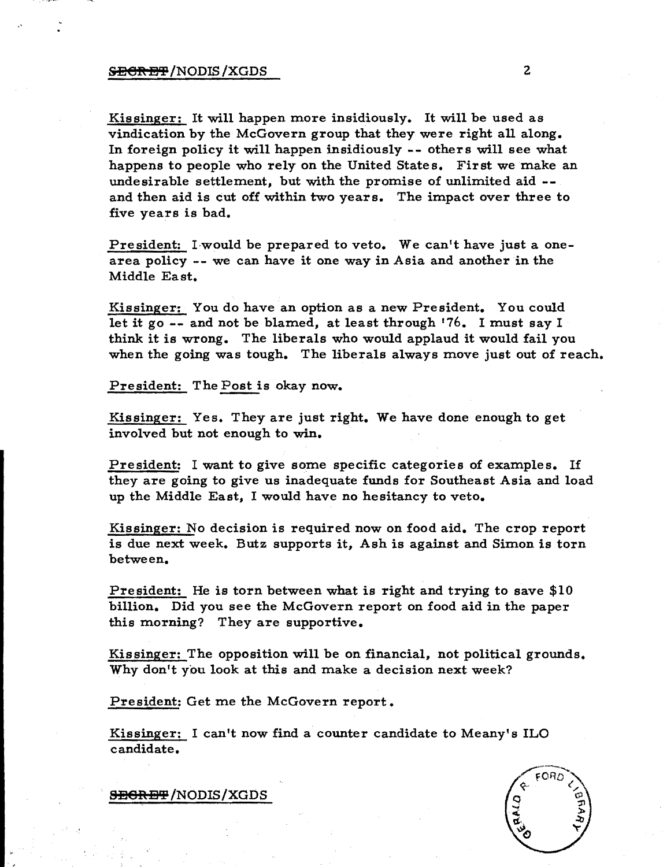Kissinger: It will happen more insidiously. It will be used as vindication by the McGovern group that they were right all along. In foreign policy it will happen insidiously -- others will see what happens to people who rely on the United States. First we make an undesirable settlement, but with the promise of unlimited aid - and then aid is cut off within two years. The impact over three to five years is bad.

President: I would be prepared to veto. We can't have just a onearea policy -- we can have it one way in Asia and another in the Middle East.

Kissinger: You do have an option as a new President. You could let it go -- and not be blamed, at least through '76. I must say I think it is wrong. The liberals who would applaud it would fail you when the going was tough. The liberals always move just out of reach.

President: The Post is okay now.

Kissinger: Yes. They are just right. We have done enough to get involved but not enough to win.

President: I want to give some specific categories of examples. If they are going to give us inadequate funds for Southeast Asia and load up the Middle East, I would have no hesitancy to veto.

Kissinger: No decision is required now on food aid. The crop report is due next week. Butz supports it, Ash is against and Simon is torn between.

President: He is torn between what is right and trying to save \$10 billion. Did you see the McGovern report on food aid in the paper this morning? They are supportive.

Kis singer: The opposition will be on financial, not political grounds. Why don't you look at this and make a decision next week?

President: Get me the McGovern report.

Kissinger: I can't now find a counter candidate to Meany's ILO candidate.



<del>SECRET</del> /NODIS / XGDS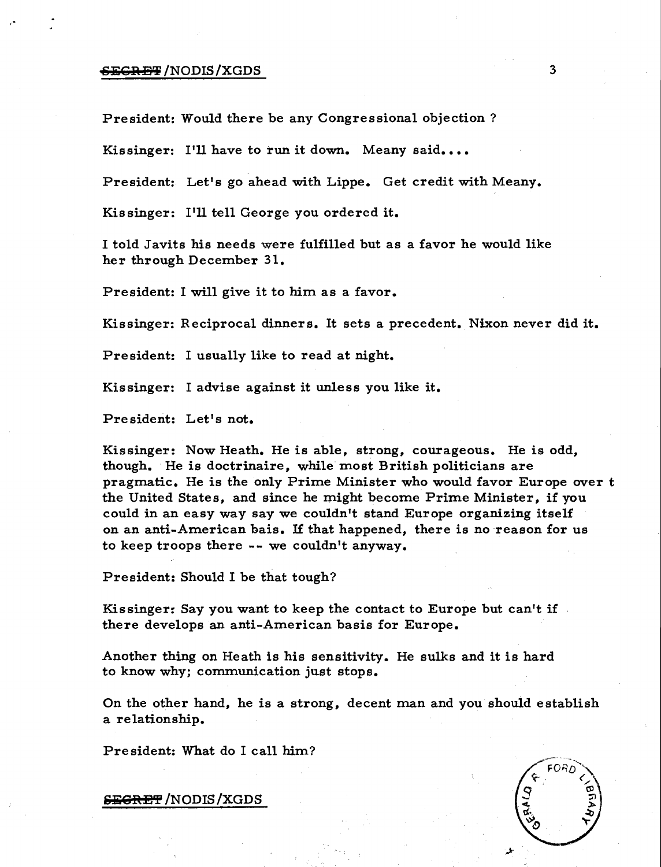# $EGREF/NODIS/XGDS$  3

President: Would there be any Congressional objection?

Kissinger: I'll have to run it down. Meany said....

President: Let's go ahead with Lippe. Get credit with Meany.

Kissinger: I'll tell George you ordered it.

I told Javits his needs were fulfilled but as a favor he would like her through December 31.

President: I will give it to him as a favor.

Kissinger: Reciprocal dinners. It sets a precedent. Nixon never did it.

President: I usually like to read at night.

Kissinger: I advise against it unless you like it.

President: Let's not.

Kissinger: Now Heath. He is able, strong, courageous. He is odd, though. He is doctrinaire, while most British politicians are pragmatic. He is the only Prime Minister who would favor Europe over t the United States, and since he might become Prime Minister, if you could in an easy way say we couldn't stand Europe organizing itself on an anti-American bais. If that happened, there is no reason for us to keep troops there -- we couldn't anyway.

President: Should I be that tough?

Kissinger: Say you want to keep the contact to Europe but can't if there develops an anti-American basis for Europe.

Another thing on Heath is his sensitivity. He sulks and it is hard to know why; communication just stops.

On the other hand, he is a strong, decent man and you should establish a relationship.

President: What do I call him?



S<del>EGRET</del> /NODIS /XGDS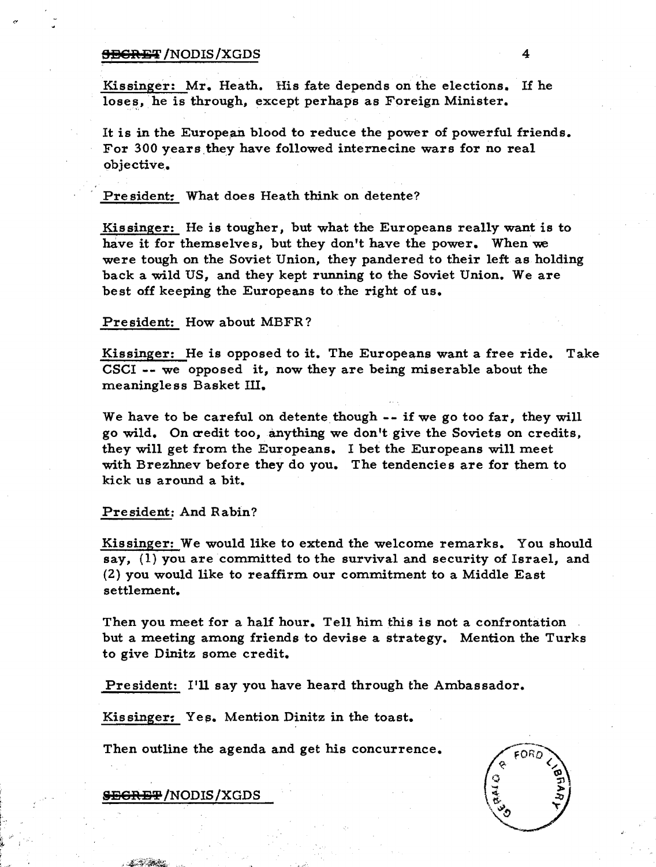## <del>SECRET</del> /NODIS /XGDS 4

Kissinger: Mr. Heath. His fate depends on the elections. If he loses, he is through, except perhaps as Foreign Minister.

It is in the European blood to reduce the power of powerful friends. For 300 years they have followed internecine wars for no real objective.

President: What does Heath think on detente?

Kissinger: He is tougher, but what the Europeans really want is to have it for themselves, but they don't have the power. When we were tough on the Soviet Union, they pandered to their left as holding back a wild US, and they kept running to the Soviet Union. We are best off keeping the Europeans to the right of us.

#### President: How about MBFR?

Kissinger: He is opposed to it. The Europeans want a free ride. Take CSCI -- we opposed it, now they are being miserable about the meaningless Basket III.

We have to be careful on detente though  $-$ - if we go too far, they will go wild. On credit too, anything we don't give the Soviets on credits, they will get from the Europeans. I bet the Europeans will meet with Brezhnev before they do you. The tendencies are for them to kick us around a bit.

## President: And Rabin?

Kissinger: We would like to extend the welcome remarks. You should say, (1) you are committed to the survival and security of Israel, and (2) you would like to reaffirm our commitment to a Middle East settlement.

Then you meet for a half hour. Tell him this is not a confrontation but a meeting among friends to devise a strategy. Mention the Turks to give Dinitz some credit.

President: I'll say you have heard through the Ambassador.

Kis singer: Yes. Mention Dinitz in the toast.

Then outline the agenda and get his concurrence.



<del>SEGRET</del>/NODIS/XGDS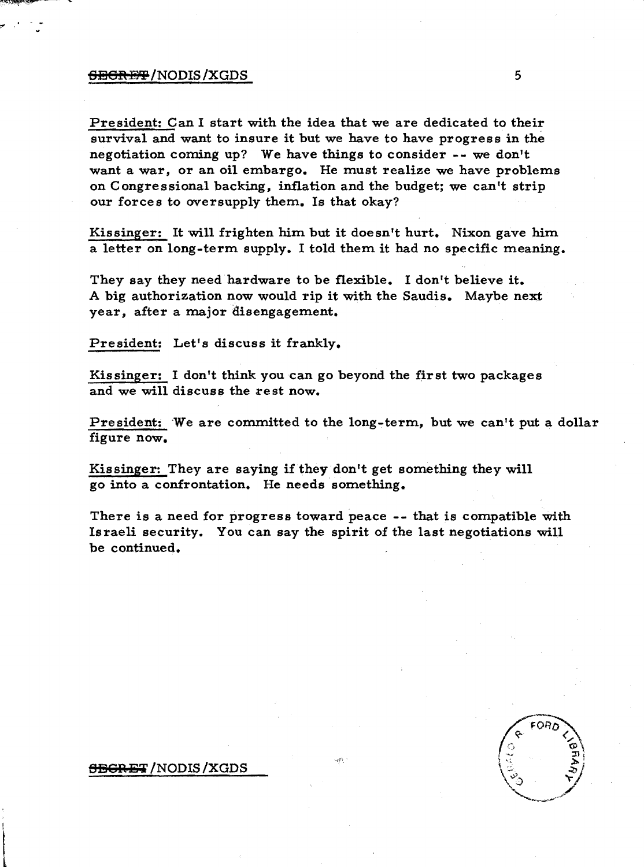## $\overline{\text{EBR-BT}}$  /NODIS /XGDS  $5$

President: Can I start with the idea that we are dedicated to their survival and want to insure it but we have to have progress in the negotiation coming up? We have things to consider -- we don't want a war, or an oil embargo. He must realize we have problems on Congressional backing, inflation and the budget; we can't strip our forces to oversupply them. Is that okay?

Kissinger: It will frighten him but it doesn't hurt. Nixon gave him a letter on long-term supply. I told them it had no specific meaning.

They say they need hardware to be flexible. I don't believe it. A big authorization now would rip it with the Saudis. Maybe next year, after a major disengagement.

President: Let's discuss it frankly.

Kissinger: I don't think you can go beyond the first two packages and we will discuss the rest now.

President: 'We are committed to the long-term, but we can't put a dollar figure now.

Kissinger: They are saying if they don't get something they will go into a confrontation. He needs something.

There is a need for progress toward peace **--** that is compatible with Israeli security. You can say the spirit of the last negotiations will be continued.

#### <del>SEGRET</del> /NODIS /XGDS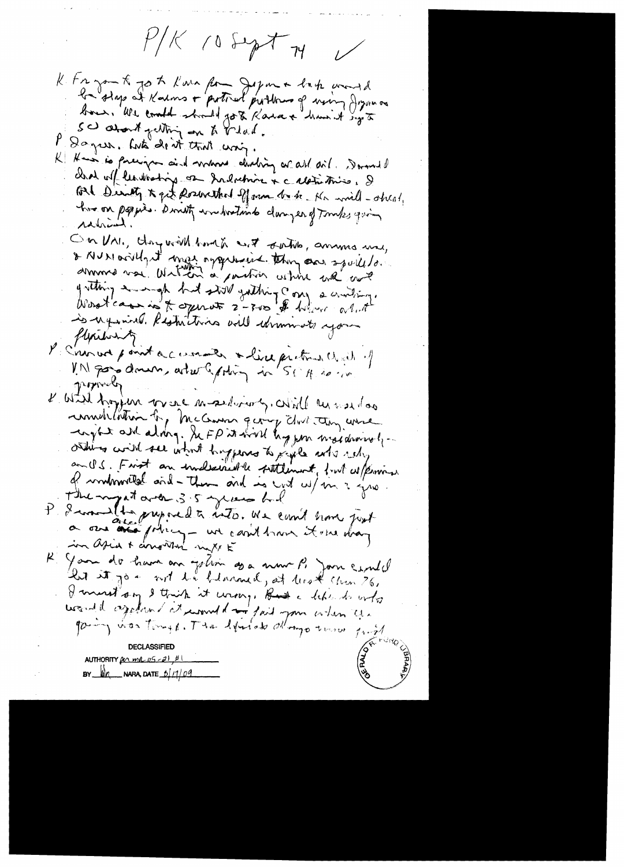$P/K$  is suptor  $W$ 

K fra zon K jo to Kara form Jegom + late avoid bour. We could should got Kasax in hun it sig to SC about getting on to belaid. Dayer. Lute de it that way. K Hans is precipe aind man deding or all ail. Donald clear ul centrating on Indumin & c aletistics, & tol Derath to get poserethed of own be to the will-obeal, have on poppies. Directly wonderstands clamper of Tomps quin ranial On VAI, daywith borth wit satis, amouns me, & NUMERIHANT mas approains they can spull to. gretting a map but still gathing comp a conding. Worstcaming & open of 2-300 \$ hollow alut is nyming. Restrictions will idements your flexibiring P. C'han wer point a ceremon a live preton dend et popporty l'atil tropin par est mosedionol, cotill en use das remedition for mechanism quong dove they were -crytet art along. Se FP it will hypen maidwivel ... others with see what happens to just who who an U.S. Frist an indexerted le sittlement, part esperant of modomoiled and - then and is yet up in 2 years P d'avant de superedt auto. We comt sont post Your do have an jehoù soa nour P. Jan Ernell but it jo - not to blacked, at look chen 26, I must say I think it wrong, Had a like it who would agalant churched in fait you when you gaing was tongs. The experience dlays town just AUTHORITY *per mil 05 - 2*  $M_{\rm A}$  NARA, DATE  $D/1/09$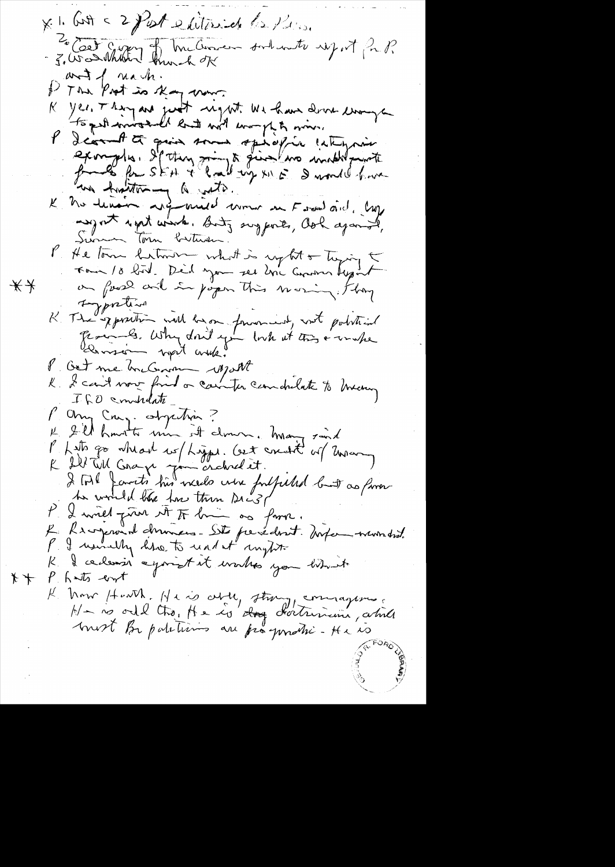XI. Cott = 2 Past exitained la Pine and I nach. I The Post is thay more yes, Thing are just regat We have done enough K. wir A pproved that the hand with an l'Icomette quia son spécific catiquin example. If they wind give we include point au hatter y le vote. "<br>Le me devoir referance comme en Forme aid. Cap anyont wint winter Buty suggests, Ook against, Surman Torn buttwan. P He tom hitmen what is up tot or tuging to on food and in poper this moving. Ihry  $**$ typotion K The sporton will be on formand, not point int Remsion wort with Bet me hacham rosport K I can't vou find a camper can docket to brany ILO emblate P any Creez objection ?<br>L'Il havette une et cloure. Many saint Philippo wheart we higger. Cet crushed of mongole of the form of the contract of the contract of the contract of the contract of the contract of the summer of the summer of the summer of the summer of the summer of the sum to would like how then Dic31 P. 2 mil juin et tr lui as favor.<br>Le Renjement données - Site presedent. Avise whom did. P. I usually like to und it inght K & ce densir a point et works you bit t P. hats east  $*+$ K Mon Havith. He is oble, strong, commagnous.<br>Ha no orde the He is dong doctrining while most Be patetisins au prégondré-He 10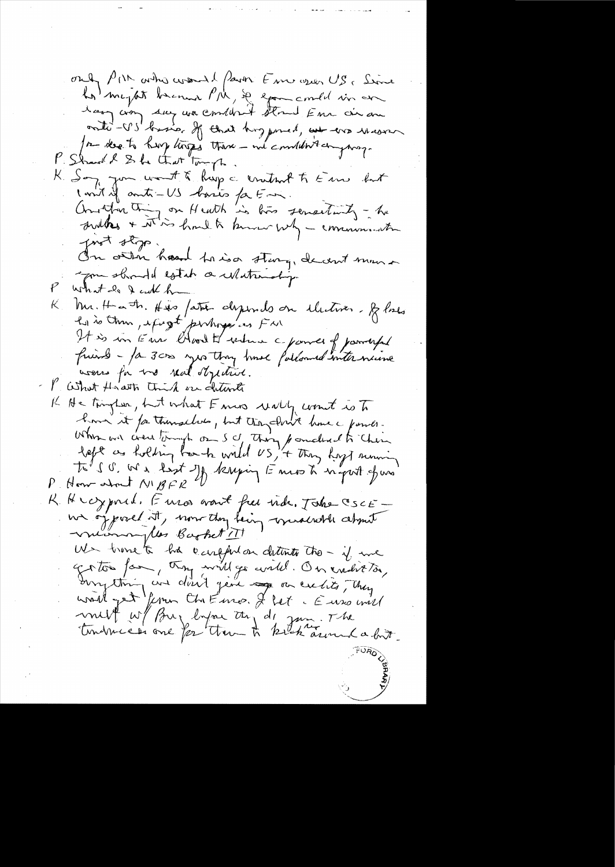only PIN asker would fear Fine open US. Since La mejot brenne PM, se examente vir en In death have torged there - and considered prosp. P. Shard & She that Tough. K Son you won't & hap a crutant to Em but lant of auto-US basis faction.<br>Another thing on Heath is two sensetimety - he<br>druthes + it is hoult known why - communication prot stop. On otten haard to iso stary, de cent man you should estab a whatevolige what do I cut h Mr. Hath. His father dysends on illetiver. Blacks  $\mathsf{K}_{\mathbb{Z}_+}$ It is in Eine Chood to where a power of parryful<br>friend - fa 3000 yes they have followed internaine were for too real stychist. P What Howarts think on Internet K He trington, but what F mas wally count is To home it for thinklubs, but they cloud have a former. When we crew tough on Sc thing pouched to their Ti's G. We kist of knying Emos h in put of us R. H coypord. Enros want free inde. Take CSCE we of posed it, now they being windered about We trime to his confliction detents the - if we Griton far, try will go avited. On exclit to,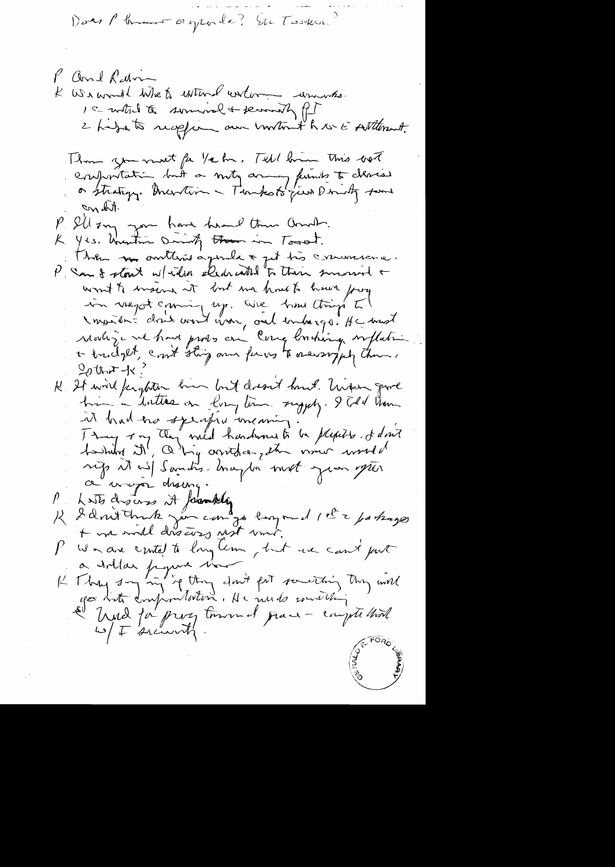Does Phrant agrade? Su Tooker?

P and Ram K Waamal When when entered and 15 with to someone + secondy for 2 hidra to reception our untout to use sutterment. Thom you must fa 1/2 hr. Tell hum this box.<br>Conferitation but a mity army funits to cleared and to on have head the and.  $P.$  SU  $m$ K Yes. Unertie Dirich them in Townt. There we contains agenda & get très concerna. P San & stout w/ willen eledenceted to their summered + won't to insing it but me had to have forg in vragot coming up. We had things I Impartir dont vout vou, ont entargé de mont  $20$ thort-tx H It will kighten him but dresst hunt. Under grove it had no sperfee meaning Thoughting They wild hardward to be pleased at don't rigs it wil Sandis. Inagter mot gron spren Photodroims it formating<br>R 2 dont tours me control emport 1et à parlages  $P_{\rm{max}}$ We are cented to long Um, but use cant put a Irlan figure trouble part something they will<br>It They say in return don't fait something they will